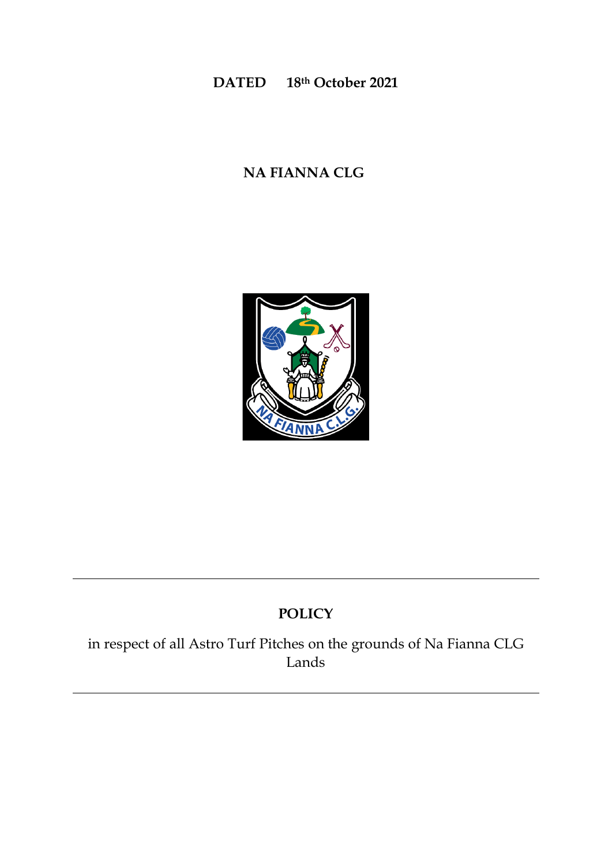## **DATED 18th October 2021**

# **NA FIANNA CLG**



# **POLICY**

in respect of all Astro Turf Pitches on the grounds of Na Fianna CLG Lands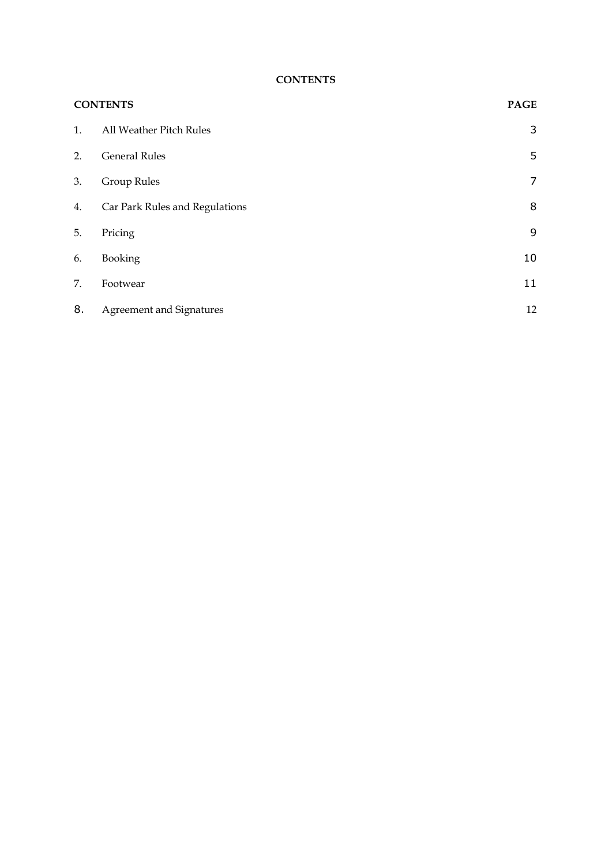#### **CONTENTS**

| <b>CONTENTS</b> |                                | <b>PAGE</b>    |
|-----------------|--------------------------------|----------------|
| 1.              | All Weather Pitch Rules        | 3              |
| 2.              | <b>General Rules</b>           | 5              |
| 3.              | <b>Group Rules</b>             | $\overline{7}$ |
| 4.              | Car Park Rules and Regulations | 8              |
| 5.              | Pricing                        | 9              |
| 6.              | Booking                        | 10             |
| 7.              | Footwear                       | 11             |
| 8.              | Agreement and Signatures       | 12             |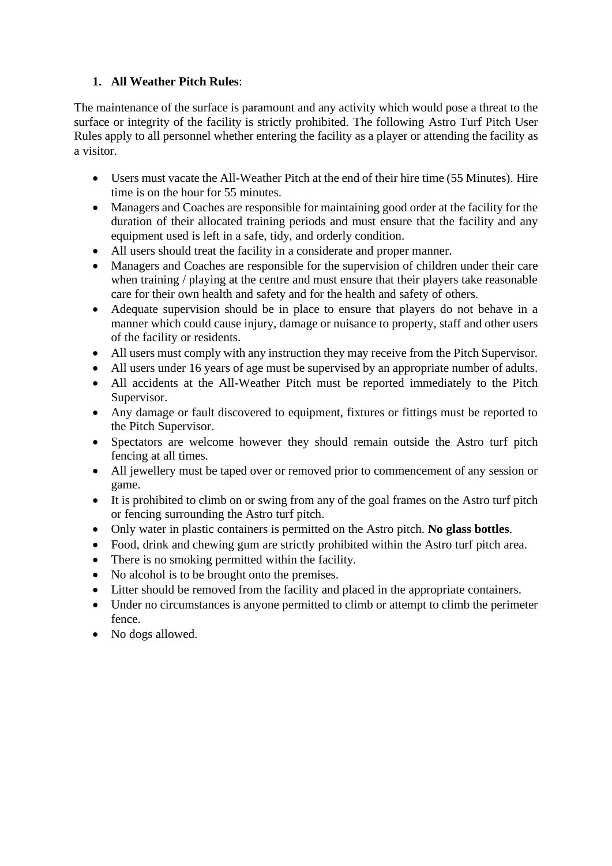### **1. All Weather Pitch Rules**:

The maintenance of the surface is paramount and any activity which would pose a threat to the surface or integrity of the facility is strictly prohibited. The following Astro Turf Pitch User Rules apply to all personnel whether entering the facility as a player or attending the facility as a visitor.

- Users must vacate the All-Weather Pitch at the end of their hire time (55 Minutes). Hire time is on the hour for 55 minutes.
- Managers and Coaches are responsible for maintaining good order at the facility for the duration of their allocated training periods and must ensure that the facility and any equipment used is left in a safe, tidy, and orderly condition.
- All users should treat the facility in a considerate and proper manner.
- Managers and Coaches are responsible for the supervision of children under their care when training / playing at the centre and must ensure that their players take reasonable care for their own health and safety and for the health and safety of others.
- Adequate supervision should be in place to ensure that players do not behave in a manner which could cause injury, damage or nuisance to property, staff and other users of the facility or residents.
- All users must comply with any instruction they may receive from the Pitch Supervisor.
- All users under 16 years of age must be supervised by an appropriate number of adults.
- All accidents at the All-Weather Pitch must be reported immediately to the Pitch Supervisor.
- Any damage or fault discovered to equipment, fixtures or fittings must be reported to the Pitch Supervisor.
- Spectators are welcome however they should remain outside the Astro turf pitch fencing at all times.
- All jewellery must be taped over or removed prior to commencement of any session or game.
- It is prohibited to climb on or swing from any of the goal frames on the Astro turf pitch or fencing surrounding the Astro turf pitch.
- Only water in plastic containers is permitted on the Astro pitch. **No glass bottles**.
- Food, drink and chewing gum are strictly prohibited within the Astro turf pitch area.
- There is no smoking permitted within the facility.
- No alcohol is to be brought onto the premises.
- Litter should be removed from the facility and placed in the appropriate containers.
- Under no circumstances is anyone permitted to climb or attempt to climb the perimeter fence.
- No dogs allowed.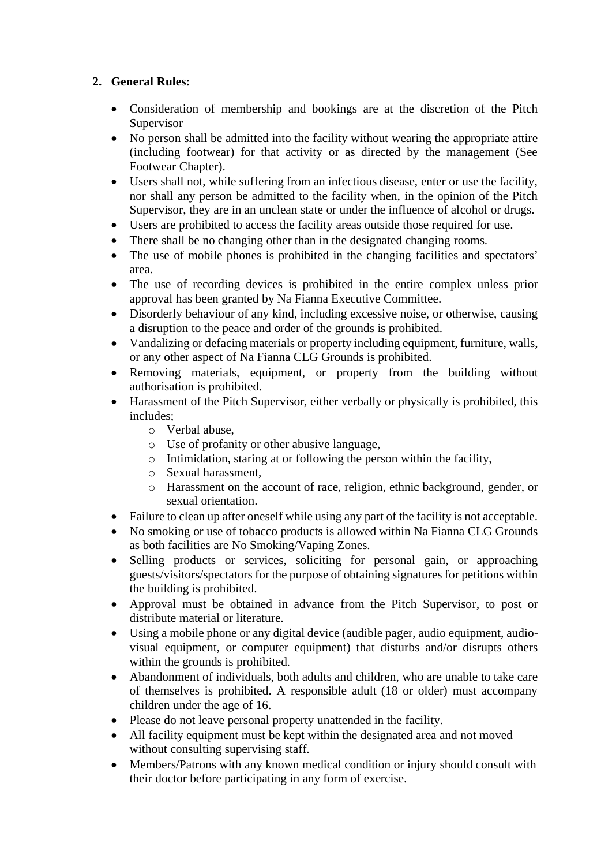### **2. General Rules:**

- Consideration of membership and bookings are at the discretion of the Pitch Supervisor
- No person shall be admitted into the facility without wearing the appropriate attire (including footwear) for that activity or as directed by the management (See Footwear Chapter).
- Users shall not, while suffering from an infectious disease, enter or use the facility, nor shall any person be admitted to the facility when, in the opinion of the Pitch Supervisor, they are in an unclean state or under the influence of alcohol or drugs.
- Users are prohibited to access the facility areas outside those required for use.
- There shall be no changing other than in the designated changing rooms.
- The use of mobile phones is prohibited in the changing facilities and spectators' area.
- The use of recording devices is prohibited in the entire complex unless prior approval has been granted by Na Fianna Executive Committee.
- Disorderly behaviour of any kind, including excessive noise, or otherwise, causing a disruption to the peace and order of the grounds is prohibited.
- Vandalizing or defacing materials or property including equipment, furniture, walls, or any other aspect of Na Fianna CLG Grounds is prohibited.
- Removing materials, equipment, or property from the building without authorisation is prohibited.
- Harassment of the Pitch Supervisor, either verbally or physically is prohibited, this includes;
	- o Verbal abuse,
	- o Use of profanity or other abusive language,
	- o Intimidation, staring at or following the person within the facility,
	- o Sexual harassment,
	- o Harassment on the account of race, religion, ethnic background, gender, or sexual orientation.
- Failure to clean up after oneself while using any part of the facility is not acceptable.
- No smoking or use of tobacco products is allowed within Na Fianna CLG Grounds as both facilities are No Smoking/Vaping Zones.
- Selling products or services, soliciting for personal gain, or approaching guests/visitors/spectators for the purpose of obtaining signatures for petitions within the building is prohibited.
- Approval must be obtained in advance from the Pitch Supervisor, to post or distribute material or literature.
- Using a mobile phone or any digital device (audible pager, audio equipment, audiovisual equipment, or computer equipment) that disturbs and/or disrupts others within the grounds is prohibited.
- Abandonment of individuals, both adults and children, who are unable to take care of themselves is prohibited. A responsible adult (18 or older) must accompany children under the age of 16.
- Please do not leave personal property unattended in the facility.
- All facility equipment must be kept within the designated area and not moved without consulting supervising staff.
- Members/Patrons with any known medical condition or injury should consult with their doctor before participating in any form of exercise.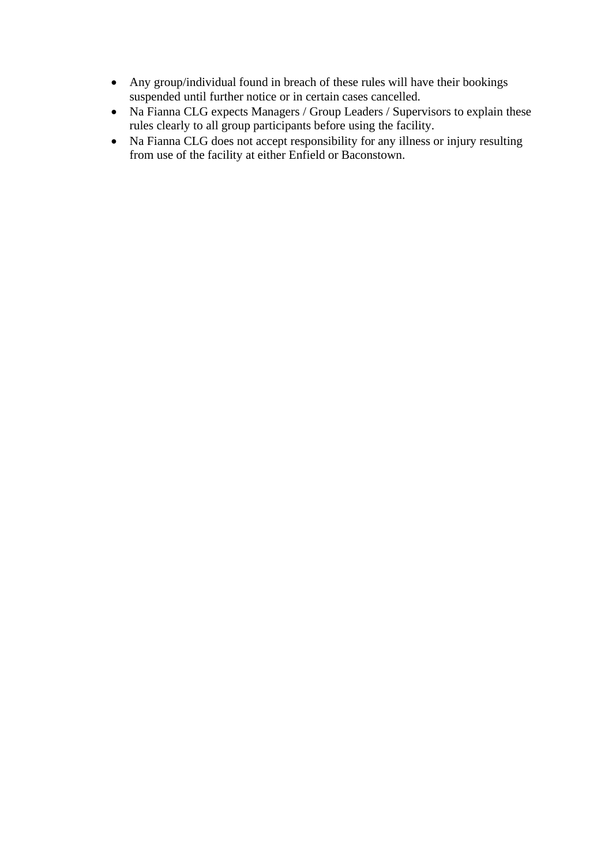- Any group/individual found in breach of these rules will have their bookings suspended until further notice or in certain cases cancelled.
- Na Fianna CLG expects Managers / Group Leaders / Supervisors to explain these rules clearly to all group participants before using the facility.
- Na Fianna CLG does not accept responsibility for any illness or injury resulting from use of the facility at either Enfield or Baconstown.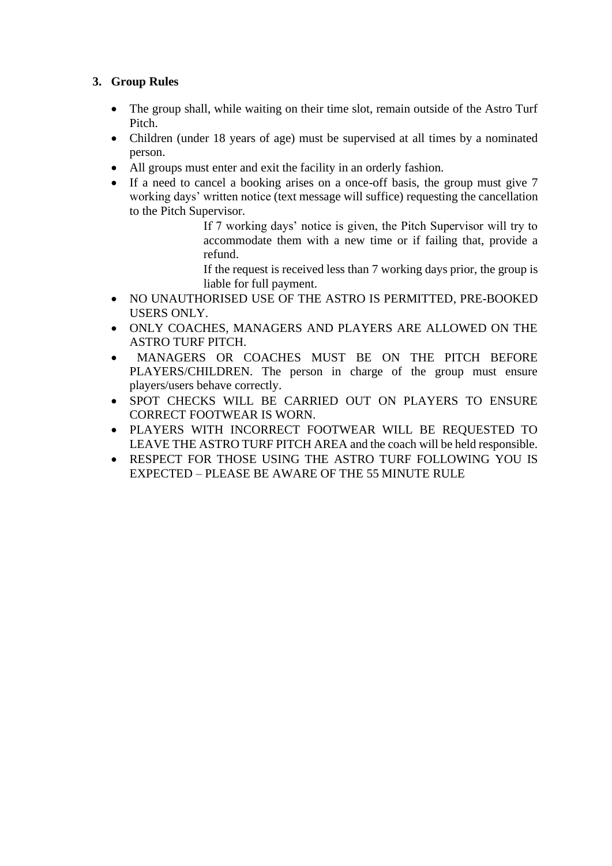### **3. Group Rules**

- The group shall, while waiting on their time slot, remain outside of the Astro Turf Pitch.
- Children (under 18 years of age) must be supervised at all times by a nominated person.
- All groups must enter and exit the facility in an orderly fashion.
- If a need to cancel a booking arises on a once-off basis, the group must give 7 working days' written notice (text message will suffice) requesting the cancellation to the Pitch Supervisor.

If 7 working days' notice is given, the Pitch Supervisor will try to accommodate them with a new time or if failing that, provide a refund.

If the request is received less than 7 working days prior, the group is liable for full payment.

- NO UNAUTHORISED USE OF THE ASTRO IS PERMITTED, PRE-BOOKED USERS ONLY.
- ONLY COACHES, MANAGERS AND PLAYERS ARE ALLOWED ON THE ASTRO TURF PITCH.
- MANAGERS OR COACHES MUST BE ON THE PITCH BEFORE PLAYERS/CHILDREN. The person in charge of the group must ensure players/users behave correctly.
- SPOT CHECKS WILL BE CARRIED OUT ON PLAYERS TO ENSURE CORRECT FOOTWEAR IS WORN.
- PLAYERS WITH INCORRECT FOOTWEAR WILL BE REQUESTED TO LEAVE THE ASTRO TURF PITCH AREA and the coach will be held responsible.
- RESPECT FOR THOSE USING THE ASTRO TURF FOLLOWING YOU IS EXPECTED – PLEASE BE AWARE OF THE 55 MINUTE RULE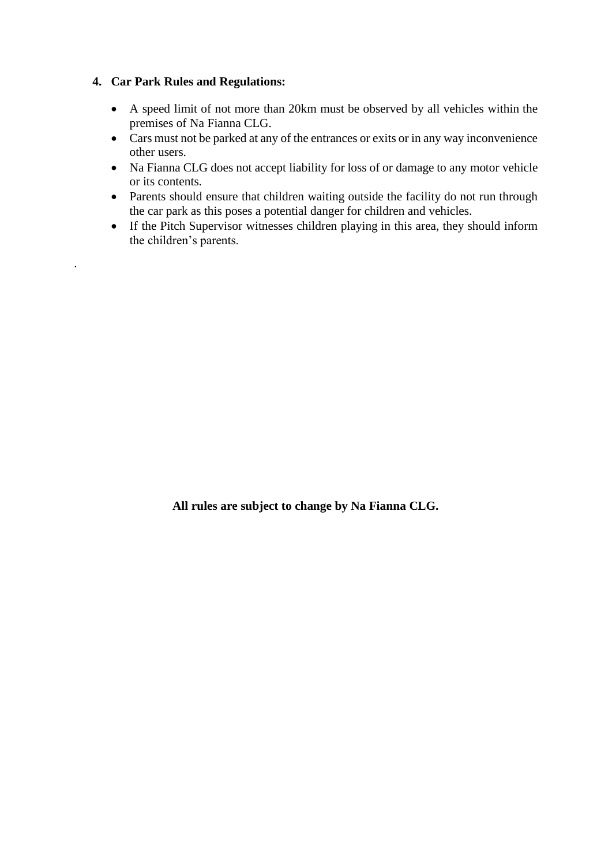#### **4. Car Park Rules and Regulations:**

·

- A speed limit of not more than 20km must be observed by all vehicles within the premises of Na Fianna CLG.
- Cars must not be parked at any of the entrances or exits or in any way inconvenience other users.
- Na Fianna CLG does not accept liability for loss of or damage to any motor vehicle or its contents.
- Parents should ensure that children waiting outside the facility do not run through the car park as this poses a potential danger for children and vehicles.
- If the Pitch Supervisor witnesses children playing in this area, they should inform the children's parents.

**All rules are subject to change by Na Fianna CLG.**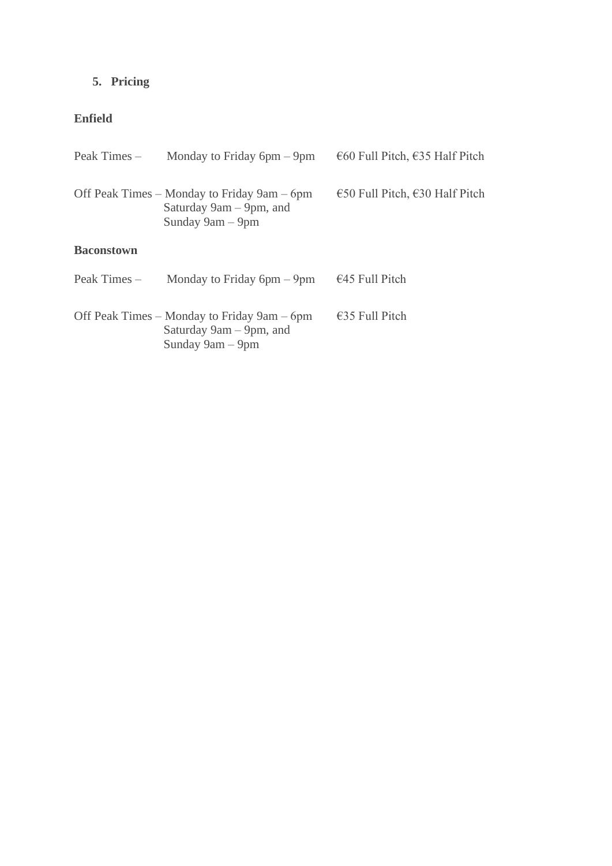## **5. Pricing**

### **Enfield**

| Peak Times –      | Monday to Friday $6pm - 9pm$                                                               | €60 Full Pitch, $€35$ Half Pitch |  |  |  |
|-------------------|--------------------------------------------------------------------------------------------|----------------------------------|--|--|--|
|                   | Off Peak Times – Monday to Friday 9am – 6pm<br>Saturday 9am – 9pm, and<br>Sunday 9am – 9pm | €50 Full Pitch, $€30$ Half Pitch |  |  |  |
| <b>Baconstown</b> |                                                                                            |                                  |  |  |  |
| Peak Times –      | Monday to Friday $6pm - 9pm$                                                               | $\epsilon$ 45 Full Pitch         |  |  |  |
|                   | Off Peak Times – Monday to Friday 9am – 6pm<br>Saturday 9am – 9pm, and<br>Sunday 9am - 9pm | $\epsilon$ 35 Full Pitch         |  |  |  |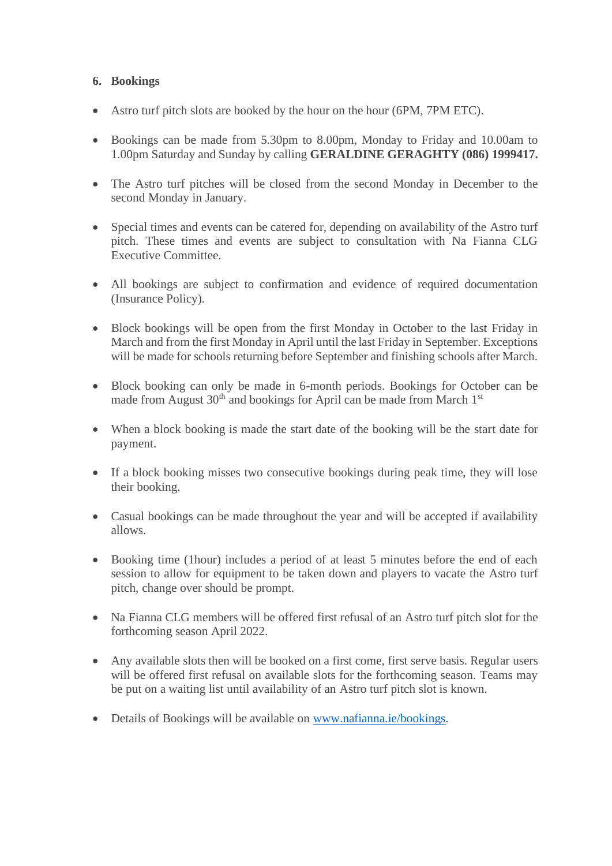#### **6. Bookings**

- Astro turf pitch slots are booked by the hour on the hour (6PM, 7PM ETC).
- Bookings can be made from 5.30pm to 8.00pm, Monday to Friday and 10.00am to 1.00pm Saturday and Sunday by calling **GERALDINE GERAGHTY (086) 1999417.**
- The Astro turf pitches will be closed from the second Monday in December to the second Monday in January.
- Special times and events can be catered for, depending on availability of the Astro turf pitch. These times and events are subject to consultation with Na Fianna CLG Executive Committee.
- All bookings are subject to confirmation and evidence of required documentation (Insurance Policy).
- Block bookings will be open from the first Monday in October to the last Friday in March and from the first Monday in April until the last Friday in September. Exceptions will be made for schools returning before September and finishing schools after March.
- Block booking can only be made in 6-month periods. Bookings for October can be made from August  $30<sup>th</sup>$  and bookings for April can be made from March  $1<sup>st</sup>$
- When a block booking is made the start date of the booking will be the start date for payment.
- If a block booking misses two consecutive bookings during peak time, they will lose their booking.
- Casual bookings can be made throughout the year and will be accepted if availability allows.
- Booking time (1hour) includes a period of at least 5 minutes before the end of each session to allow for equipment to be taken down and players to vacate the Astro turf pitch, change over should be prompt.
- Na Fianna CLG members will be offered first refusal of an Astro turf pitch slot for the forthcoming season April 2022.
- Any available slots then will be booked on a first come, first serve basis. Regular users will be offered first refusal on available slots for the forthcoming season. Teams may be put on a waiting list until availability of an Astro turf pitch slot is known.
- Details of Bookings will be available on [www.nafianna.ie/bookings.](http://www.nafianna.ie/bookings)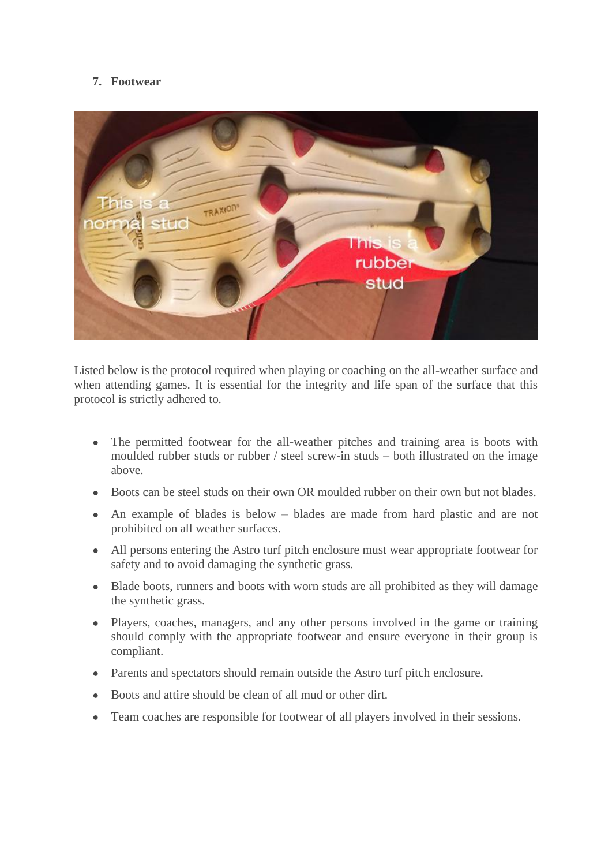#### **7. Footwear**



Listed below is the protocol required when playing or coaching on the all-weather surface and when attending games. It is essential for the integrity and life span of the surface that this protocol is strictly adhered to.

- The permitted footwear for the all-weather pitches and training area is boots with moulded rubber studs or rubber / steel screw-in studs – both illustrated on the image above.
- Boots can be steel studs on their own OR moulded rubber on their own but not blades.
- An example of blades is below blades are made from hard plastic and are not prohibited on all weather surfaces.
- All persons entering the Astro turf pitch enclosure must wear appropriate footwear for safety and to avoid damaging the synthetic grass.
- Blade boots, runners and boots with worn studs are all prohibited as they will damage the synthetic grass.
- Players, coaches, managers, and any other persons involved in the game or training should comply with the appropriate footwear and ensure everyone in their group is compliant.
- Parents and spectators should remain outside the Astro turf pitch enclosure.
- Boots and attire should be clean of all mud or other dirt.
- Team coaches are responsible for footwear of all players involved in their sessions.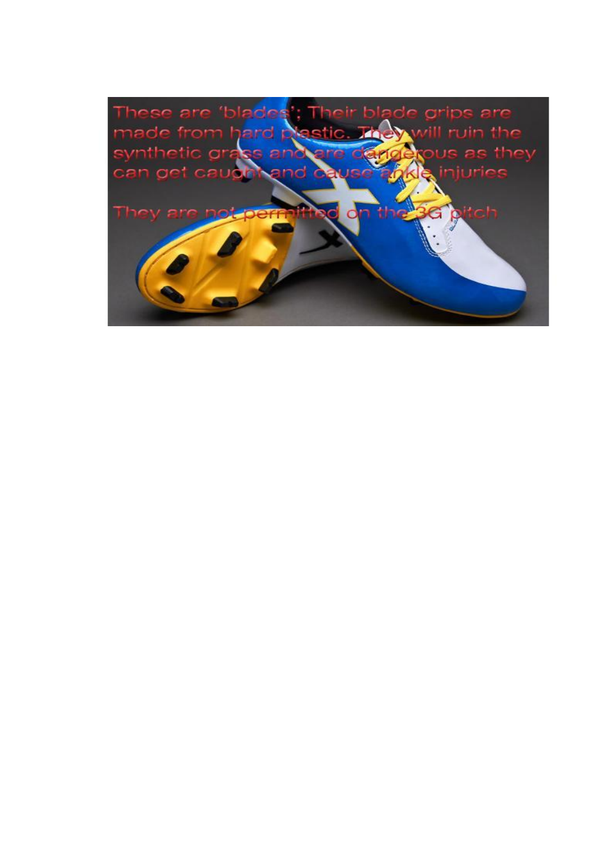